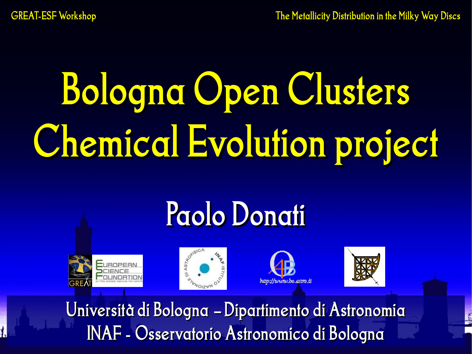# **Bologna Open Clusters Chemical Evolution project**

### **Paolo Donati**









**Università di Bologna – Dipartimento di Astronomia INAF - Osservatorio Astronomico di Bologna**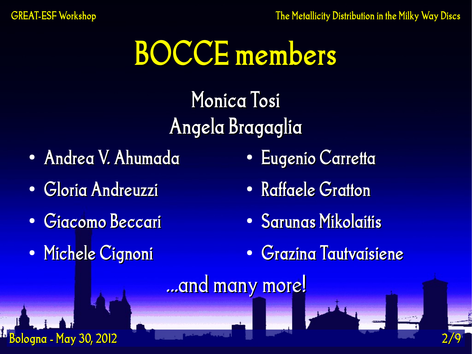#### **BOCCE members**

**Monica Tosi Angela Bragaglia**

- **Andrea V. Ahumada**
- **Gloria Andreuzzi**
- **Giacomo Beccari**
- **Michele Cignoni**

 $\overline{B}$ ologna - May 30, 2012

- **Eugenio Carretta**
- **Raffaele Gratton**
- **Sarunas Mikolaitis**
- **Grazina Tautvaisiene**

…and many more!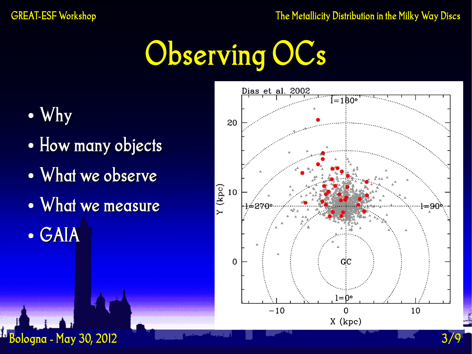# **Observing OCs**

- **Why**
- **How many objects**
- **What we observe**
- **What we measure**
- **GAIA**

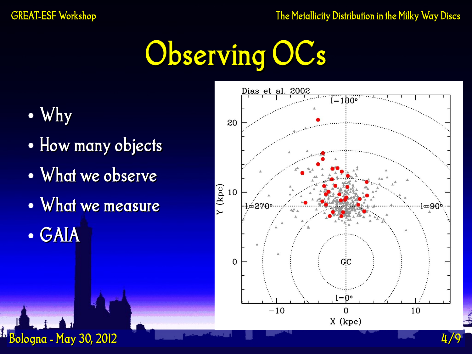# **Observing OCs**

- **Why**
- **How many objects**
- **What we observe**
- **What we measure**
- **GAIA**

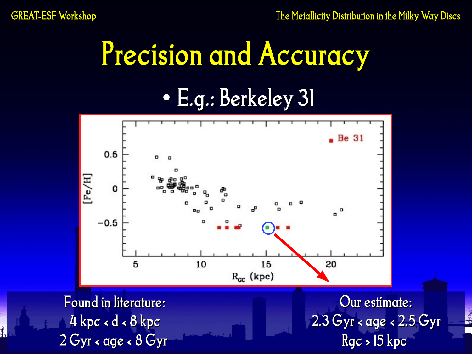## **Precision and Accuracy** ● **E.g.: Berkeley 31**



**Found in literature: 4 kpc < d < 8 kpc 2 Gyr < age < 8 Gyr**

**Our estimate: 2.3 Gyr < age < 2.5 Gyr Rgc > 15 kpc**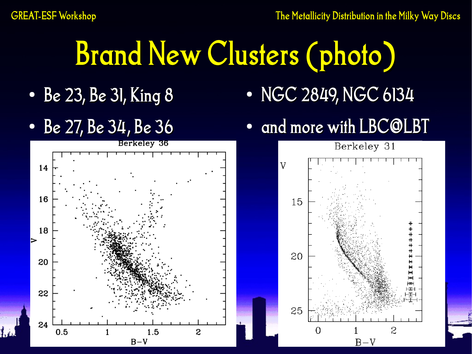# **Brand New Clusters (photo)**

● **Be 23, Be 31, King 8**

● **NGC 2849, NGC 6134**

● **Be 27, Be 34, Be 36**



and more with LBC@LBT

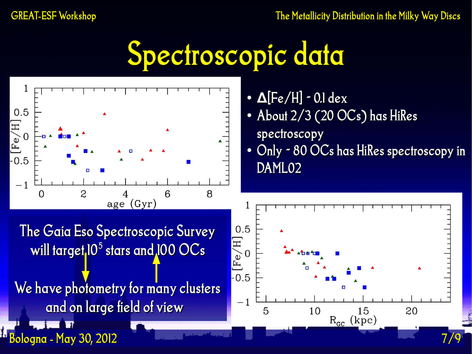#### **Spectroscopic data**

**Bologna - May 30, 2012 7/9**

 $0.5$ 

 $\begin{array}{c} \mathrm{[Fe/H]}\\ \mathrm{O} \end{array}$ 

 $-0.5$ 

 $-1$ 

5

10



- **Δ[Fe/H] ~ 0.1 dex**
- **About 2/3 (20 OCs) has HiRes spectroscopy**
- **Only ~ 80 OCs has HiRes spectroscopy in DAML02**

15

 $R_{gc}$  (kpc)

20

**The Gaia Eso Spectroscopic Survey will target 10<sup>5</sup> stars and 100 OCs We have photometry for many clusters and on large field of view**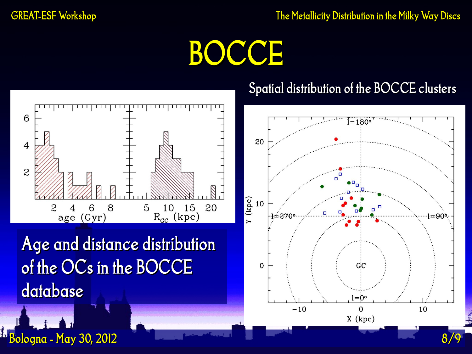### **BOCCE**



**Age and distance distribution of the OCs in the BOCCE database**

#### **Spatial distribution of the BOCCE clusters**